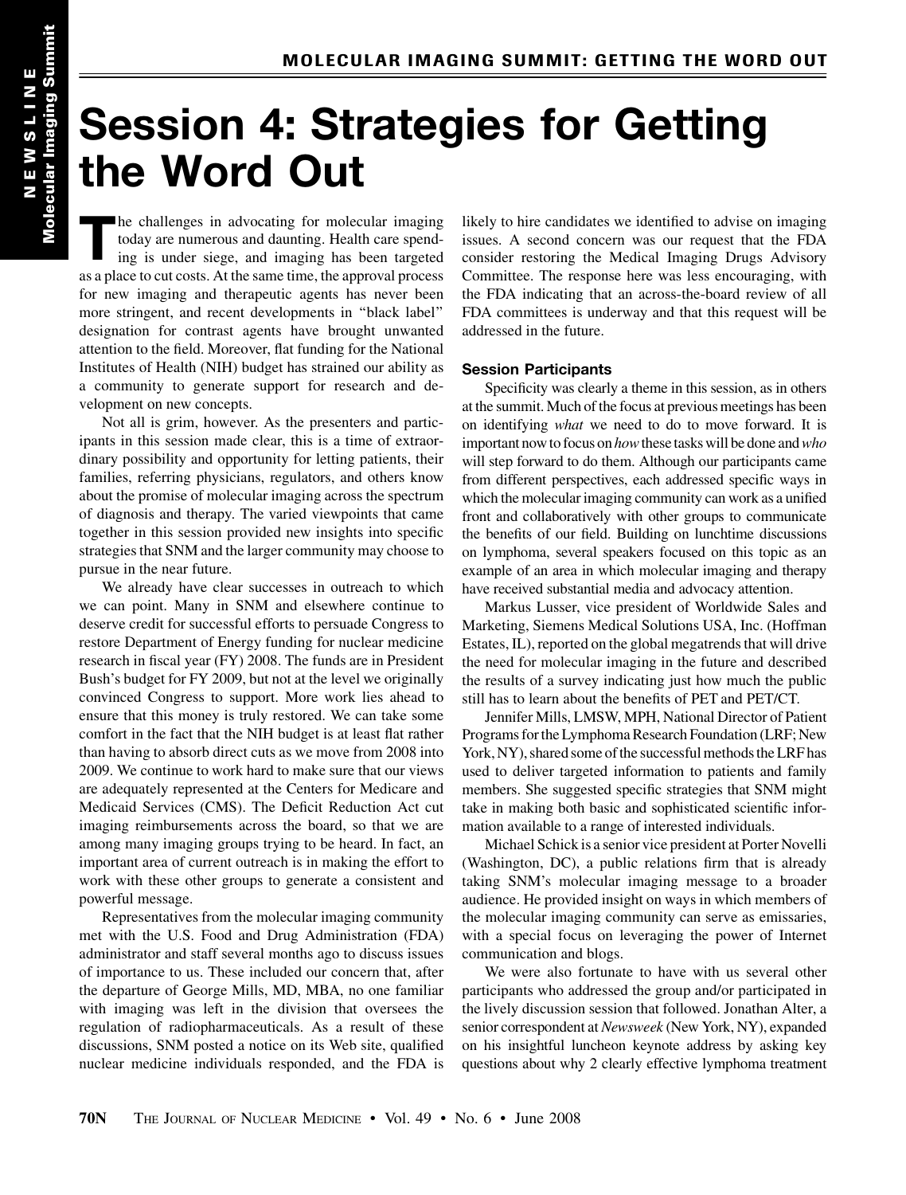## Session 4: Strategies for Getting the Word Out

The challenges in advocating for molecular imaging today are numerous and daunting. Health care spending is under siege, and imaging has been targeted as a place to cut costs. At the same time, the approval process for new imaging and therapeutic agents has never been more stringent, and recent developments in ''black label'' designation for contrast agents have brought unwanted attention to the field. Moreover, flat funding for the National Institutes of Health (NIH) budget has strained our ability as a community to generate support for research and development on new concepts.

Not all is grim, however. As the presenters and participants in this session made clear, this is a time of extraordinary possibility and opportunity for letting patients, their families, referring physicians, regulators, and others know about the promise of molecular imaging across the spectrum of diagnosis and therapy. The varied viewpoints that came together in this session provided new insights into specific strategies that SNM and the larger community may choose to pursue in the near future.

We already have clear successes in outreach to which we can point. Many in SNM and elsewhere continue to deserve credit for successful efforts to persuade Congress to restore Department of Energy funding for nuclear medicine research in fiscal year (FY) 2008. The funds are in President Bush's budget for FY 2009, but not at the level we originally convinced Congress to support. More work lies ahead to ensure that this money is truly restored. We can take some comfort in the fact that the NIH budget is at least flat rather than having to absorb direct cuts as we move from 2008 into 2009. We continue to work hard to make sure that our views are adequately represented at the Centers for Medicare and Medicaid Services (CMS). The Deficit Reduction Act cut imaging reimbursements across the board, so that we are among many imaging groups trying to be heard. In fact, an important area of current outreach is in making the effort to work with these other groups to generate a consistent and powerful message.

Representatives from the molecular imaging community met with the U.S. Food and Drug Administration (FDA) administrator and staff several months ago to discuss issues of importance to us. These included our concern that, after the departure of George Mills, MD, MBA, no one familiar with imaging was left in the division that oversees the regulation of radiopharmaceuticals. As a result of these discussions, SNM posted a notice on its Web site, qualified nuclear medicine individuals responded, and the FDA is likely to hire candidates we identified to advise on imaging issues. A second concern was our request that the FDA consider restoring the Medical Imaging Drugs Advisory Committee. The response here was less encouraging, with the FDA indicating that an across-the-board review of all FDA committees is underway and that this request will be addressed in the future.

## Session Participants

Specificity was clearly a theme in this session, as in others at the summit. Much of the focus at previous meetings has been on identifying *what* we need to do to move forward. It is important now to focus on how these tasks will be done and who will step forward to do them. Although our participants came from different perspectives, each addressed specific ways in which the molecular imaging community can work as a unified front and collaboratively with other groups to communicate the benefits of our field. Building on lunchtime discussions on lymphoma, several speakers focused on this topic as an example of an area in which molecular imaging and therapy have received substantial media and advocacy attention.

Markus Lusser, vice president of Worldwide Sales and Marketing, Siemens Medical Solutions USA, Inc. (Hoffman Estates, IL), reported on the global megatrends that will drive the need for molecular imaging in the future and described the results of a survey indicating just how much the public still has to learn about the benefits of PET and PET/CT.

Jennifer Mills, LMSW, MPH, National Director of Patient Programs for the Lymphoma Research Foundation (LRF; New York, NY), shared some of the successful methods the LRF has used to deliver targeted information to patients and family members. She suggested specific strategies that SNM might take in making both basic and sophisticated scientific information available to a range of interested individuals.

Michael Schick is a senior vice president at Porter Novelli (Washington, DC), a public relations firm that is already taking SNM's molecular imaging message to a broader audience. He provided insight on ways in which members of the molecular imaging community can serve as emissaries, with a special focus on leveraging the power of Internet communication and blogs.

We were also fortunate to have with us several other participants who addressed the group and/or participated in the lively discussion session that followed. Jonathan Alter, a senior correspondent at Newsweek (New York, NY), expanded on his insightful luncheon keynote address by asking key questions about why 2 clearly effective lymphoma treatment